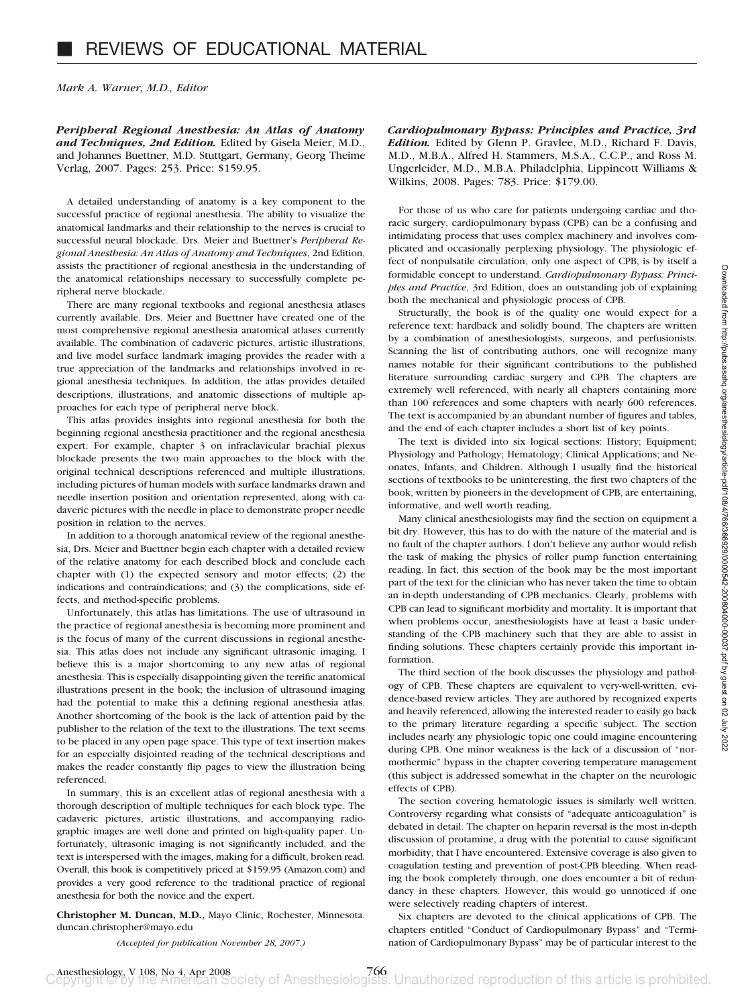*Mark A. Warner, M.D., Editor*

*Peripheral Regional Anesthesia: An Atlas of Anatomy and Techniques, 2nd Edition.* Edited by Gisela Meier, M.D., and Johannes Buettner, M.D. Stuttgart, Germany, Georg Theime Verlag, 2007. Pages: 253. Price: \$159.95.

A detailed understanding of anatomy is a key component to the successful practice of regional anesthesia. The ability to visualize the anatomical landmarks and their relationship to the nerves is crucial to successful neural blockade. Drs. Meier and Buettner's *Peripheral Regional Anesthesia: An Atlas of Anatomy and Techniques*, 2nd Edition, assists the practitioner of regional anesthesia in the understanding of the anatomical relationships necessary to successfully complete peripheral nerve blockade.

There are many regional textbooks and regional anesthesia atlases currently available. Drs. Meier and Buettner have created one of the most comprehensive regional anesthesia anatomical atlases currently available. The combination of cadaveric pictures, artistic illustrations, and live model surface landmark imaging provides the reader with a true appreciation of the landmarks and relationships involved in regional anesthesia techniques. In addition, the atlas provides detailed descriptions, illustrations, and anatomic dissections of multiple approaches for each type of peripheral nerve block.

This atlas provides insights into regional anesthesia for both the beginning regional anesthesia practitioner and the regional anesthesia expert. For example, chapter 3 on infraclavicular brachial plexus blockade presents the two main approaches to the block with the original technical descriptions referenced and multiple illustrations, including pictures of human models with surface landmarks drawn and needle insertion position and orientation represented, along with cadaveric pictures with the needle in place to demonstrate proper needle position in relation to the nerves.

In addition to a thorough anatomical review of the regional anesthesia, Drs. Meier and Buettner begin each chapter with a detailed review of the relative anatomy for each described block and conclude each chapter with (1) the expected sensory and motor effects; (2) the indications and contraindications; and (3) the complications, side effects, and method-specific problems.

Unfortunately, this atlas has limitations. The use of ultrasound in the practice of regional anesthesia is becoming more prominent and is the focus of many of the current discussions in regional anesthesia. This atlas does not include any significant ultrasonic imaging. I believe this is a major shortcoming to any new atlas of regional anesthesia. This is especially disappointing given the terrific anatomical illustrations present in the book; the inclusion of ultrasound imaging had the potential to make this a defining regional anesthesia atlas. Another shortcoming of the book is the lack of attention paid by the publisher to the relation of the text to the illustrations. The text seems to be placed in any open page space. This type of text insertion makes for an especially disjointed reading of the technical descriptions and makes the reader constantly flip pages to view the illustration being referenced.

In summary, this is an excellent atlas of regional anesthesia with a thorough description of multiple techniques for each block type. The cadaveric pictures, artistic illustrations, and accompanying radiographic images are well done and printed on high-quality paper. Unfortunately, ultrasonic imaging is not significantly included, and the text is interspersed with the images, making for a difficult, broken read. Overall, this book is competitively priced at \$159.95 (Amazon.com) and provides a very good reference to the traditional practice of regional anesthesia for both the novice and the expert.

**Christopher M. Duncan, M.D.,** Mayo Clinic, Rochester, Minnesota. duncan.christopher@mayo.edu

*(Accepted for publication November 28, 2007.)*

*Cardiopulmonary Bypass: Principles and Practice, 3rd Edition.* Edited by Glenn P. Gravlee, M.D., Richard F. Davis, M.D., M.B.A., Alfred H. Stammers, M.S.A., C.C.P., and Ross M. Ungerleider, M.D., M.B.A. Philadelphia, Lippincott Williams & Wilkins, 2008. Pages: 783. Price: \$179.00.

For those of us who care for patients undergoing cardiac and thoracic surgery, cardiopulmonary bypass (CPB) can be a confusing and intimidating process that uses complex machinery and involves complicated and occasionally perplexing physiology. The physiologic effect of nonpulsatile circulation, only one aspect of CPB, is by itself a formidable concept to understand. *Cardiopulmonary Bypass: Principles and Practice*, 3rd Edition, does an outstanding job of explaining both the mechanical and physiologic process of CPB.

Structurally, the book is of the quality one would expect for a reference text: hardback and solidly bound. The chapters are written by a combination of anesthesiologists, surgeons, and perfusionists. Scanning the list of contributing authors, one will recognize many names notable for their significant contributions to the published literature surrounding cardiac surgery and CPB. The chapters are extremely well referenced, with nearly all chapters containing more than 100 references and some chapters with nearly 600 references. The text is accompanied by an abundant number of figures and tables, and the end of each chapter includes a short list of key points.

The text is divided into six logical sections: History; Equipment; Physiology and Pathology; Hematology; Clinical Applications; and Neonates, Infants, and Children. Although I usually find the historical sections of textbooks to be uninteresting, the first two chapters of the book, written by pioneers in the development of CPB, are entertaining, informative, and well worth reading.

Many clinical anesthesiologists may find the section on equipment a bit dry. However, this has to do with the nature of the material and is no fault of the chapter authors. I don't believe any author would relish the task of making the physics of roller pump function entertaining reading. In fact, this section of the book may be the most important part of the text for the clinician who has never taken the time to obtain an in-depth understanding of CPB mechanics. Clearly, problems with CPB can lead to significant morbidity and mortality. It is important that when problems occur, anesthesiologists have at least a basic understanding of the CPB machinery such that they are able to assist in finding solutions. These chapters certainly provide this important information.

The third section of the book discusses the physiology and pathology of CPB. These chapters are equivalent to very-well-written, evidence-based review articles. They are authored by recognized experts and heavily referenced, allowing the interested reader to easily go back to the primary literature regarding a specific subject. The section includes nearly any physiologic topic one could imagine encountering during CPB. One minor weakness is the lack of a discussion of "normothermic" bypass in the chapter covering temperature management (this subject is addressed somewhat in the chapter on the neurologic effects of CPB).

The section covering hematologic issues is similarly well written. Controversy regarding what consists of "adequate anticoagulation" is debated in detail. The chapter on heparin reversal is the most in-depth discussion of protamine, a drug with the potential to cause significant morbidity, that I have encountered. Extensive coverage is also given to coagulation testing and prevention of post-CPB bleeding. When reading the book completely through, one does encounter a bit of redundancy in these chapters. However, this would go unnoticed if one were selectively reading chapters of interest.

Six chapters are devoted to the clinical applications of CPB. The chapters entitled "Conduct of Cardiopulmonary Bypass" and "Termination of Cardiopulmonary Bypass" may be of particular interest to the